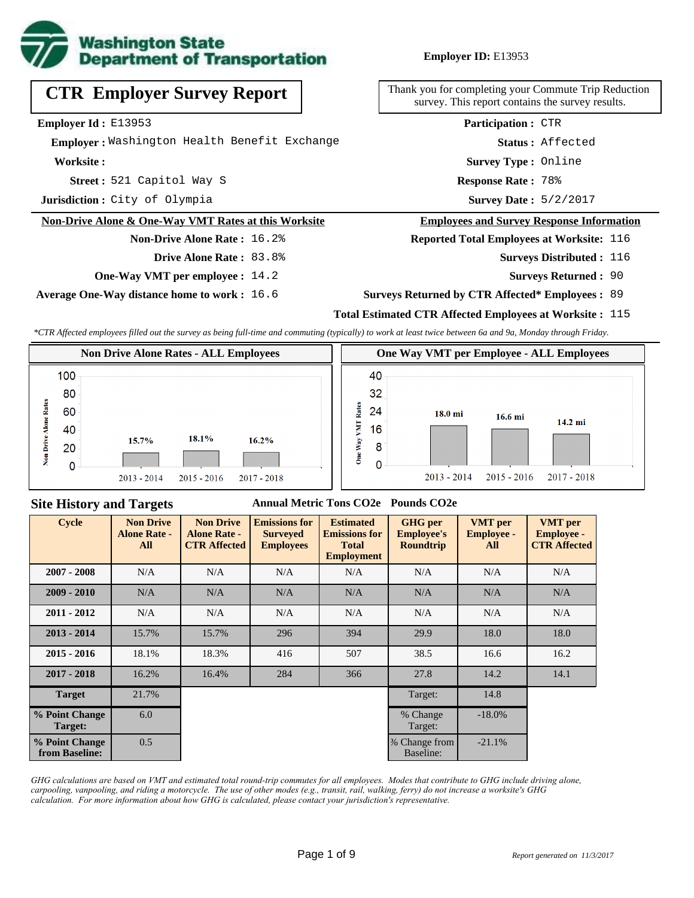

# **CTR Employer Survey Report**

**Employer Id :** E13953

 **Employer :** Washington Health Benefit Exchange

**Worksite :**

521 Capitol Way S **Response Rate : Street :**

**Jurisdiction :** City of Olympia

#### **Non-Drive Alone & One-Way VMT Rates at this Worksite**

**Non-Drive Alone Rate :** 16.2% **Drive Alone Rate :** 83.8%

**One-Way VMT per employee :** 14.2

**Average One-Way distance home to work :** 16.6

### **Employer ID:** E13953

Thank you for completing your Commute Trip Reduction survey. This report contains the survey results.

> **Survey Type :** Online **Status :** Affected **Participation :** CTR

Response Rate: 78%

Survey Date: 5/2/2017

#### **Employees and Survey Response Information**

**Reported Total Employees at Worksite:** 116

- **Surveys Distributed : 116** 
	- **Surveys Returned :** 90

#### **Surveys Returned by CTR Affected\* Employees :** 89

### **Total Estimated CTR Affected Employees at Worksite :** 115

*\*CTR Affected employees filled out the survey as being full-time and commuting (typically) to work at least twice between 6a and 9a, Monday through Friday.*



### **Site History and Targets**

### **Annual Metric Tons CO2e Pounds CO2e**

| <b>Cycle</b>                     | <b>Non Drive</b><br><b>Alone Rate -</b><br>All | <b>Non Drive</b><br><b>Alone Rate -</b><br><b>CTR Affected</b> | <b>Emissions for</b><br><b>Surveyed</b><br><b>Employees</b> | <b>Estimated</b><br><b>Emissions for</b><br><b>Total</b><br><b>Employment</b> | <b>GHG</b> per<br><b>Employee's</b><br><b>Roundtrip</b> | <b>VMT</b> per<br><b>Employee -</b><br>All | <b>VMT</b> per<br><b>Employee -</b><br><b>CTR Affected</b> |
|----------------------------------|------------------------------------------------|----------------------------------------------------------------|-------------------------------------------------------------|-------------------------------------------------------------------------------|---------------------------------------------------------|--------------------------------------------|------------------------------------------------------------|
| $2007 - 2008$                    | N/A                                            | N/A                                                            | N/A                                                         | N/A                                                                           | N/A                                                     | N/A                                        | N/A                                                        |
| $2009 - 2010$                    | N/A                                            | N/A                                                            | N/A                                                         | N/A                                                                           | N/A                                                     | N/A                                        | N/A                                                        |
| $2011 - 2012$                    | N/A                                            | N/A                                                            | N/A                                                         | N/A                                                                           | N/A                                                     | N/A                                        | N/A                                                        |
| $2013 - 2014$                    | 15.7%                                          | 15.7%                                                          | 296                                                         | 394                                                                           | 29.9                                                    | 18.0                                       | 18.0                                                       |
| $2015 - 2016$                    | 18.1%                                          | 18.3%                                                          | 416                                                         | 507                                                                           | 38.5                                                    | 16.6                                       | 16.2                                                       |
| $2017 - 2018$                    | 16.2%                                          | 16.4%                                                          | 284                                                         | 366                                                                           | 27.8                                                    | 14.2                                       | 14.1                                                       |
| <b>Target</b>                    | 21.7%                                          |                                                                |                                                             |                                                                               | Target:                                                 | 14.8                                       |                                                            |
| % Point Change<br>Target:        | 6.0                                            |                                                                |                                                             |                                                                               | % Change<br>Target:                                     | $-18.0\%$                                  |                                                            |
| % Point Change<br>from Baseline: | 0.5                                            |                                                                |                                                             |                                                                               | % Change from<br>Baseline:                              | $-21.1%$                                   |                                                            |

*GHG calculations are based on VMT and estimated total round-trip commutes for all employees. Modes that contribute to GHG include driving alone, carpooling, vanpooling, and riding a motorcycle. The use of other modes (e.g., transit, rail, walking, ferry) do not increase a worksite's GHG calculation. For more information about how GHG is calculated, please contact your jurisdiction's representative.*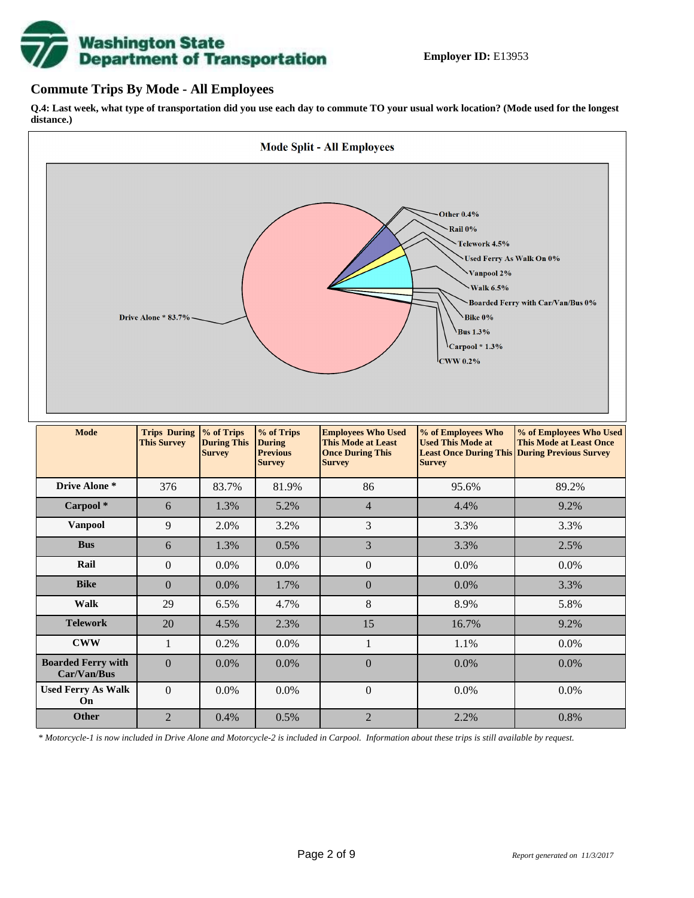

## **Commute Trips By Mode - All Employees**

**Q.4: Last week, what type of transportation did you use each day to commute TO your usual work location? (Mode used for the longest distance.)**



*\* Motorcycle-1 is now included in Drive Alone and Motorcycle-2 is included in Carpool. Information about these trips is still available by request.*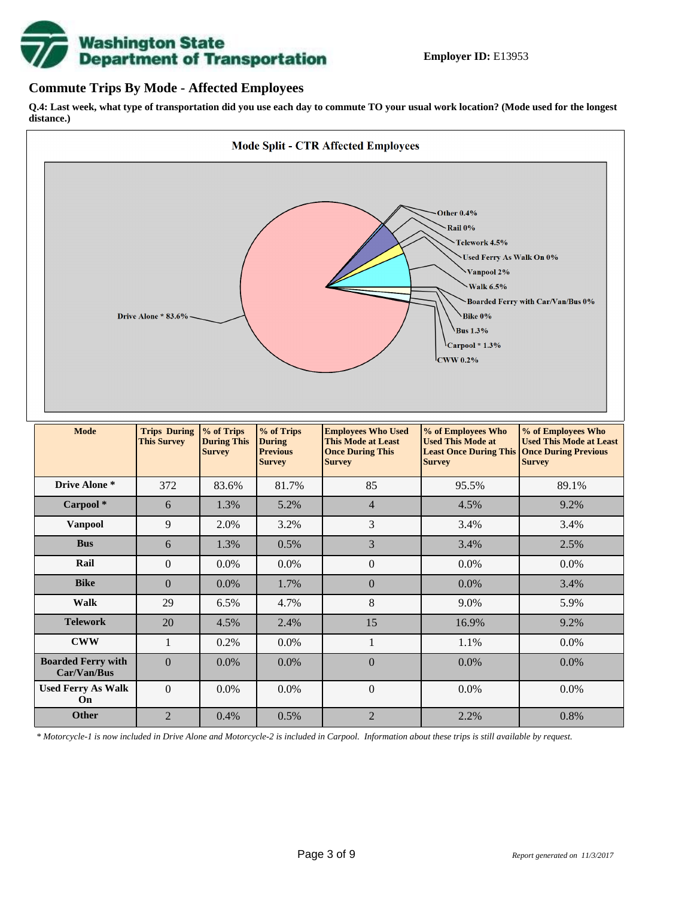

# **Commute Trips By Mode - Affected Employees**

**Q.4: Last week, what type of transportation did you use each day to commute TO your usual work location? (Mode used for the longest distance.)**



*\* Motorcycle-1 is now included in Drive Alone and Motorcycle-2 is included in Carpool. Information about these trips is still available by request.*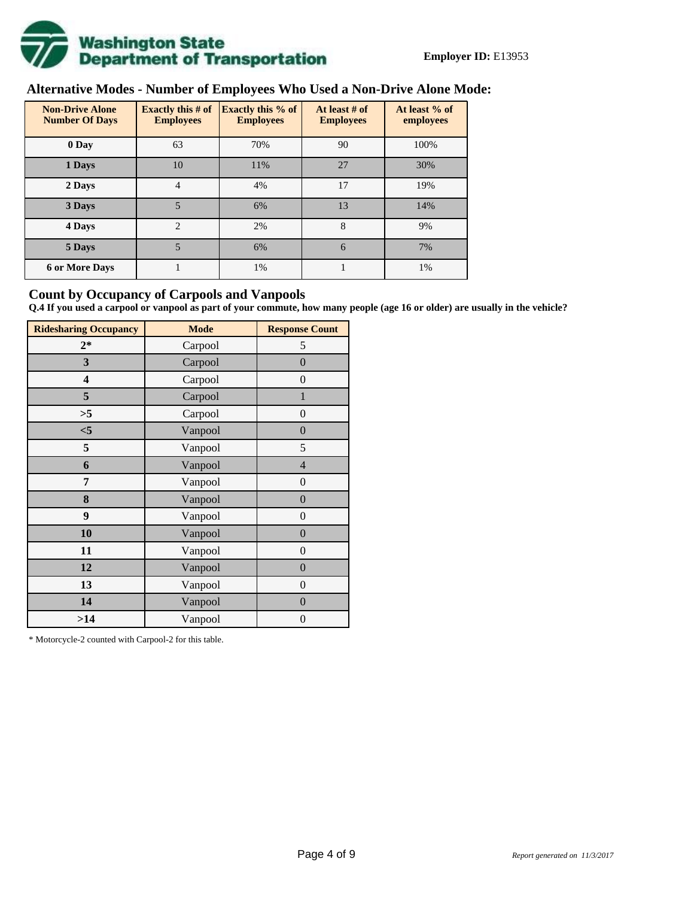

# **Alternative Modes - Number of Employees Who Used a Non-Drive Alone Mode:**

| <b>Non-Drive Alone</b><br><b>Number Of Days</b> | Exactly this $# of$<br><b>Employees</b> | <b>Exactly this % of</b><br><b>Employees</b> | At least # of<br><b>Employees</b> | At least % of<br>employees |
|-------------------------------------------------|-----------------------------------------|----------------------------------------------|-----------------------------------|----------------------------|
| 0 Day                                           | 63                                      | 70%                                          | 90                                | 100%                       |
| 1 Days                                          | 10                                      | 11%                                          | 27                                | 30%                        |
| 2 Days                                          | $\overline{4}$                          | 4%                                           | 17                                | 19%                        |
| 3 Days                                          | 5                                       | 6%                                           | 13                                | 14%                        |
| 4 Days                                          | $\mathfrak{D}$                          | 2%                                           | 8                                 | 9%                         |
| 5 Days                                          | 5                                       | 6%                                           | 6                                 | 7%                         |
| <b>6 or More Days</b>                           |                                         | 1%                                           |                                   | 1%                         |

# **Count by Occupancy of Carpools and Vanpools**

**Q.4 If you used a carpool or vanpool as part of your commute, how many people (age 16 or older) are usually in the vehicle?**

| <b>Ridesharing Occupancy</b> | <b>Mode</b> | <b>Response Count</b> |
|------------------------------|-------------|-----------------------|
| $2*$                         | Carpool     | 5                     |
| 3                            | Carpool     | $\overline{0}$        |
| 4                            | Carpool     | $\boldsymbol{0}$      |
| 5                            | Carpool     | $\mathbf{1}$          |
| >5                           | Carpool     | $\overline{0}$        |
| $<$ 5                        | Vanpool     | $\overline{0}$        |
| 5                            | Vanpool     | 5                     |
| 6                            | Vanpool     | $\overline{4}$        |
| 7                            | Vanpool     | $\boldsymbol{0}$      |
| 8                            | Vanpool     | $\overline{0}$        |
| 9                            | Vanpool     | $\overline{0}$        |
| 10                           | Vanpool     | $\overline{0}$        |
| 11                           | Vanpool     | $\boldsymbol{0}$      |
| 12                           | Vanpool     | $\boldsymbol{0}$      |
| 13                           | Vanpool     | $\boldsymbol{0}$      |
| 14                           | Vanpool     | $\overline{0}$        |
| >14                          | Vanpool     | $\boldsymbol{0}$      |

\* Motorcycle-2 counted with Carpool-2 for this table.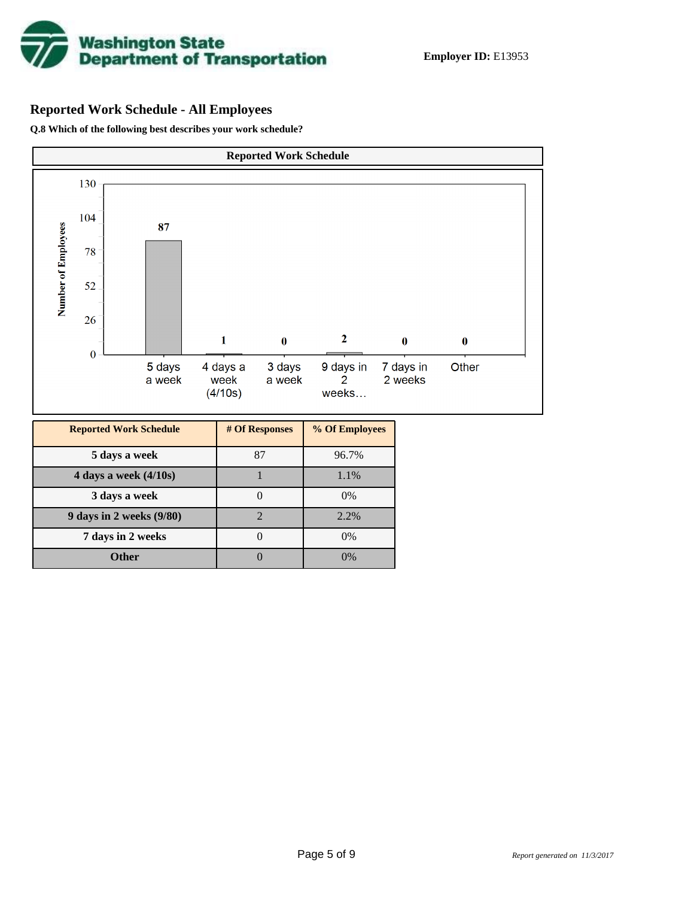

# **Reported Work Schedule - All Employees**

**Q.8 Which of the following best describes your work schedule?**

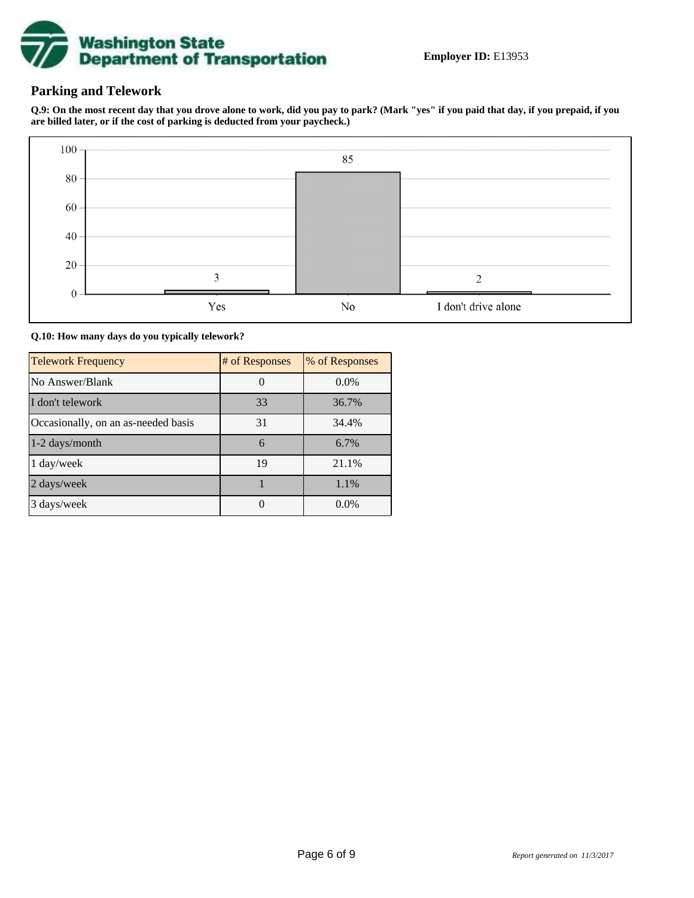

# **Parking and Telework**

**Q.9: On the most recent day that you drove alone to work, did you pay to park? (Mark "yes" if you paid that day, if you prepaid, if you are billed later, or if the cost of parking is deducted from your paycheck.)**



**Q.10: How many days do you typically telework?**

| <b>Telework Frequency</b>           | # of Responses | % of Responses |
|-------------------------------------|----------------|----------------|
| No Answer/Blank                     |                | $0.0\%$        |
| I don't telework                    | 33             | 36.7%          |
| Occasionally, on an as-needed basis | 31             | 34.4%          |
| 1-2 days/month                      | 6              | 6.7%           |
| 1 day/week                          | 19             | 21.1%          |
| 2 days/week                         |                | 1.1%           |
| 3 days/week                         |                | $0.0\%$        |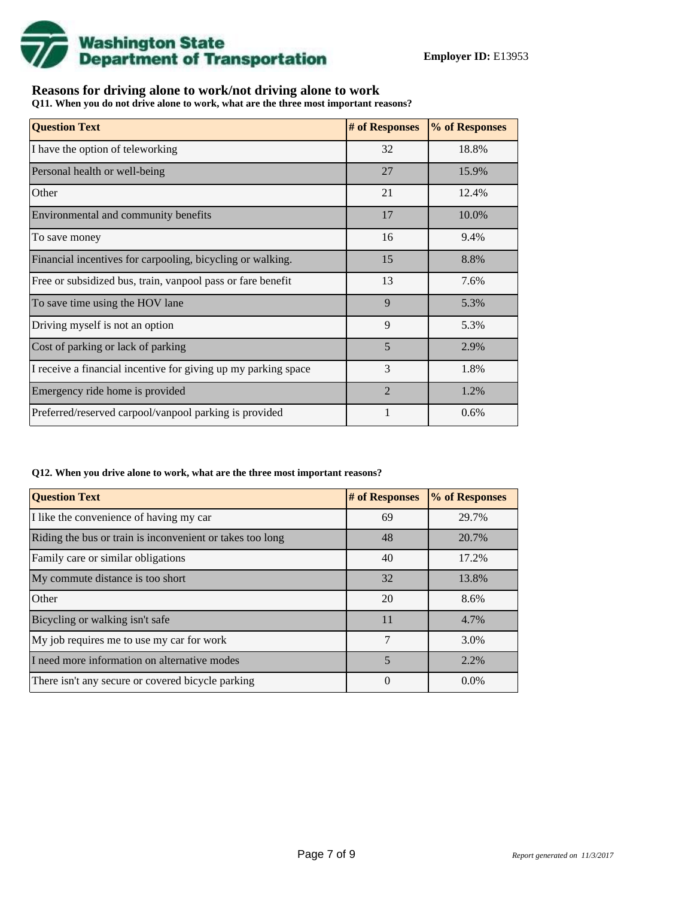

# **Reasons for driving alone to work/not driving alone to work**

**Q11. When you do not drive alone to work, what are the three most important reasons?**

| <b>Question Text</b>                                           | # of Responses | % of Responses |
|----------------------------------------------------------------|----------------|----------------|
| I have the option of teleworking                               | 32             | 18.8%          |
| Personal health or well-being                                  | 27             | 15.9%          |
| Other                                                          | 21             | 12.4%          |
| Environmental and community benefits                           | 17             | 10.0%          |
| To save money                                                  | 16             | 9.4%           |
| Financial incentives for carpooling, bicycling or walking.     | 15             | 8.8%           |
| Free or subsidized bus, train, vanpool pass or fare benefit    | 13             | 7.6%           |
| To save time using the HOV lane                                | 9              | 5.3%           |
| Driving myself is not an option                                | 9              | 5.3%           |
| Cost of parking or lack of parking                             | 5              | 2.9%           |
| I receive a financial incentive for giving up my parking space | 3              | 1.8%           |
| Emergency ride home is provided                                | $\overline{2}$ | 1.2%           |
| Preferred/reserved carpool/vanpool parking is provided         |                | 0.6%           |

#### **Q12. When you drive alone to work, what are the three most important reasons?**

| <b>Question Text</b>                                      | # of Responses | % of Responses |
|-----------------------------------------------------------|----------------|----------------|
| I like the convenience of having my car                   | 69             | 29.7%          |
| Riding the bus or train is inconvenient or takes too long | 48             | 20.7%          |
| Family care or similar obligations                        | 40             | 17.2%          |
| My commute distance is too short                          | 32             | 13.8%          |
| Other                                                     | 20             | 8.6%           |
| Bicycling or walking isn't safe                           | 11             | 4.7%           |
| My job requires me to use my car for work                 | 7              | 3.0%           |
| I need more information on alternative modes              | 5              | 2.2%           |
| There isn't any secure or covered bicycle parking         | $\theta$       | $0.0\%$        |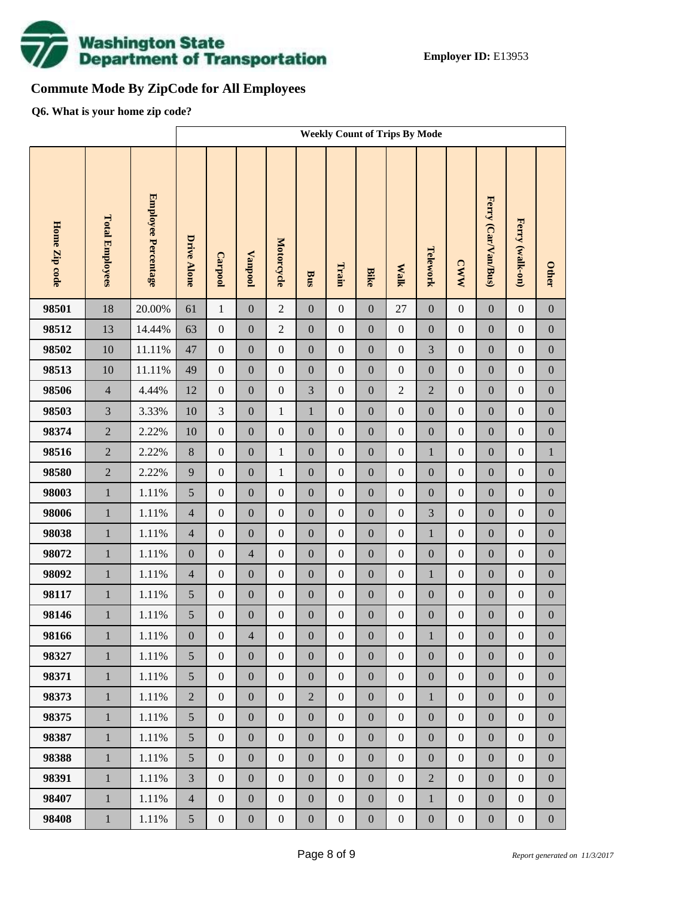

# **Commute Mode By ZipCode for All Employees**

**Q6. What is your home zip code?**

|               |                        |                     | <b>Weekly Count of Trips By Mode</b> |                  |                  |                  |                  |                  |                  |                  |                  |                  |                     |                  |                  |
|---------------|------------------------|---------------------|--------------------------------------|------------------|------------------|------------------|------------------|------------------|------------------|------------------|------------------|------------------|---------------------|------------------|------------------|
| Home Zip code | <b>Total Employees</b> | Employee Percentage | <b>Drive Alone</b>                   | Carpool          | <b>Vanpool</b>   | Motorcycle       | <b>Bus</b>       | Train            | <b>Bike</b>      | <b>Walk</b>      | Telework         | <b>CWW</b>       | Ferry (Car/Van/Bus) | Ferry (walk-on)  | <b>Other</b>     |
| 98501         | 18                     | 20.00%              | 61                                   | $\mathbf{1}$     | $\boldsymbol{0}$ | $\overline{2}$   | $\boldsymbol{0}$ | $\boldsymbol{0}$ | $\boldsymbol{0}$ | 27               | $\boldsymbol{0}$ | $\boldsymbol{0}$ | $\mathbf{0}$        | $\boldsymbol{0}$ | $\boldsymbol{0}$ |
| 98512         | 13                     | 14.44%              | 63                                   | $\boldsymbol{0}$ | $\boldsymbol{0}$ | $\overline{2}$   | $\boldsymbol{0}$ | $\boldsymbol{0}$ | $\overline{0}$   | $\boldsymbol{0}$ | $\boldsymbol{0}$ | $\boldsymbol{0}$ | $\boldsymbol{0}$    | $\boldsymbol{0}$ | $\boldsymbol{0}$ |
| 98502         | 10                     | 11.11%              | 47                                   | $\boldsymbol{0}$ | $\boldsymbol{0}$ | $\boldsymbol{0}$ | $\boldsymbol{0}$ | $\boldsymbol{0}$ | $\boldsymbol{0}$ | $\boldsymbol{0}$ | 3                | $\boldsymbol{0}$ | $\boldsymbol{0}$    | $\boldsymbol{0}$ | $\boldsymbol{0}$ |
| 98513         | 10                     | 11.11%              | 49                                   | $\boldsymbol{0}$ | $\boldsymbol{0}$ | $\boldsymbol{0}$ | $\boldsymbol{0}$ | $\boldsymbol{0}$ | $\overline{0}$   | $\boldsymbol{0}$ | $\boldsymbol{0}$ | $\boldsymbol{0}$ | $\boldsymbol{0}$    | $\boldsymbol{0}$ | $\boldsymbol{0}$ |
| 98506         | $\overline{4}$         | 4.44%               | 12                                   | $\boldsymbol{0}$ | $\boldsymbol{0}$ | $\boldsymbol{0}$ | 3                | $\boldsymbol{0}$ | $\boldsymbol{0}$ | $\overline{2}$   | $\overline{2}$   | $\boldsymbol{0}$ | $\boldsymbol{0}$    | $\boldsymbol{0}$ | $\boldsymbol{0}$ |
| 98503         | $\overline{3}$         | 3.33%               | 10                                   | 3                | $\boldsymbol{0}$ | $\mathbf{1}$     | $\mathbf{1}$     | $\boldsymbol{0}$ | $\overline{0}$   | $\boldsymbol{0}$ | $\boldsymbol{0}$ | $\boldsymbol{0}$ | $\boldsymbol{0}$    | $\boldsymbol{0}$ | $\boldsymbol{0}$ |
| 98374         | $\overline{2}$         | 2.22%               | 10                                   | $\boldsymbol{0}$ | $\boldsymbol{0}$ | $\boldsymbol{0}$ | $\boldsymbol{0}$ | $\boldsymbol{0}$ | $\boldsymbol{0}$ | $\boldsymbol{0}$ | $\boldsymbol{0}$ | $\boldsymbol{0}$ | $\boldsymbol{0}$    | $\boldsymbol{0}$ | $\boldsymbol{0}$ |
| 98516         | $\overline{2}$         | 2.22%               | $8\,$                                | $\boldsymbol{0}$ | $\boldsymbol{0}$ | $\mathbf{1}$     | $\boldsymbol{0}$ | $\boldsymbol{0}$ | $\boldsymbol{0}$ | $\boldsymbol{0}$ | $\mathbf{1}$     | $\boldsymbol{0}$ | $\boldsymbol{0}$    | $\boldsymbol{0}$ | $\,1$            |
| 98580         | $\overline{2}$         | 2.22%               | $\overline{9}$                       | $\boldsymbol{0}$ | $\boldsymbol{0}$ | $\mathbf{1}$     | $\boldsymbol{0}$ | $\boldsymbol{0}$ | $\boldsymbol{0}$ | $\boldsymbol{0}$ | $\boldsymbol{0}$ | $\boldsymbol{0}$ | $\boldsymbol{0}$    | $\boldsymbol{0}$ | $\boldsymbol{0}$ |
| 98003         | $\,1\,$                | 1.11%               | 5                                    | $\boldsymbol{0}$ | $\boldsymbol{0}$ | $\boldsymbol{0}$ | $\boldsymbol{0}$ | $\boldsymbol{0}$ | $\overline{0}$   | $\boldsymbol{0}$ | $\boldsymbol{0}$ | $\boldsymbol{0}$ | $\boldsymbol{0}$    | $\boldsymbol{0}$ | $\boldsymbol{0}$ |
| 98006         | $\mathbf 1$            | 1.11%               | $\overline{4}$                       | $\boldsymbol{0}$ | $\boldsymbol{0}$ | $\boldsymbol{0}$ | $\boldsymbol{0}$ | $\boldsymbol{0}$ | $\boldsymbol{0}$ | $\boldsymbol{0}$ | 3                | $\boldsymbol{0}$ | $\boldsymbol{0}$    | $\boldsymbol{0}$ | $\boldsymbol{0}$ |
| 98038         | $\mathbf 1$            | 1.11%               | $\overline{4}$                       | $\boldsymbol{0}$ | $\boldsymbol{0}$ | $\boldsymbol{0}$ | $\boldsymbol{0}$ | $\boldsymbol{0}$ | $\boldsymbol{0}$ | $\boldsymbol{0}$ | $\mathbf{1}$     | $\boldsymbol{0}$ | $\boldsymbol{0}$    | $\boldsymbol{0}$ | $\boldsymbol{0}$ |
| 98072         | $\mathbf 1$            | 1.11%               | $\boldsymbol{0}$                     | $\boldsymbol{0}$ | $\overline{4}$   | $\boldsymbol{0}$ | $\boldsymbol{0}$ | $\boldsymbol{0}$ | $\boldsymbol{0}$ | $\boldsymbol{0}$ | $\boldsymbol{0}$ | $\boldsymbol{0}$ | $\boldsymbol{0}$    | $\boldsymbol{0}$ | $\boldsymbol{0}$ |
| 98092         | $\mathbf 1$            | 1.11%               | $\overline{4}$                       | $\boldsymbol{0}$ | $\boldsymbol{0}$ | $\boldsymbol{0}$ | $\boldsymbol{0}$ | $\boldsymbol{0}$ | $\overline{0}$   | $\boldsymbol{0}$ | $\mathbf{1}$     | $\boldsymbol{0}$ | $\boldsymbol{0}$    | $\boldsymbol{0}$ | $\boldsymbol{0}$ |
| 98117         | $\mathbf{1}$           | 1.11%               | 5                                    | $\boldsymbol{0}$ | $\boldsymbol{0}$ | $\boldsymbol{0}$ | $\boldsymbol{0}$ | $\boldsymbol{0}$ | $\boldsymbol{0}$ | $\boldsymbol{0}$ | $\boldsymbol{0}$ | $\boldsymbol{0}$ | $\boldsymbol{0}$    | $\boldsymbol{0}$ | $\boldsymbol{0}$ |
| 98146         | $\,1$                  | 1.11%               | 5                                    | $\boldsymbol{0}$ | $\boldsymbol{0}$ | $\boldsymbol{0}$ | $\boldsymbol{0}$ | $\boldsymbol{0}$ | $\mathbf{0}$     | $\boldsymbol{0}$ | $\boldsymbol{0}$ | $\boldsymbol{0}$ | $\boldsymbol{0}$    | $\boldsymbol{0}$ | $\boldsymbol{0}$ |
| 98166         | $\mathbf{1}$           | $1.11\%$            | $\boldsymbol{0}$                     | $\boldsymbol{0}$ | $\overline{4}$   | $\boldsymbol{0}$ | $\boldsymbol{0}$ | $\boldsymbol{0}$ | $\boldsymbol{0}$ | $\boldsymbol{0}$ | $\mathbf{1}$     | $\boldsymbol{0}$ | $\boldsymbol{0}$    | $\boldsymbol{0}$ | $\boldsymbol{0}$ |
| 98327         | $\mathbf{1}$           | 1.11%               | 5                                    | $\overline{0}$   | $\boldsymbol{0}$ | $\boldsymbol{0}$ | $\overline{0}$   | $\boldsymbol{0}$ | $\overline{0}$   | $\boldsymbol{0}$ | $\overline{0}$   | $\boldsymbol{0}$ | $\boldsymbol{0}$    | $\boldsymbol{0}$ | $\overline{0}$   |
| 98371         | $\,1\,$                | 1.11%               | 5                                    | $\boldsymbol{0}$ | $\boldsymbol{0}$ | $\boldsymbol{0}$ | $\boldsymbol{0}$ | $\boldsymbol{0}$ | $\overline{0}$   | $\boldsymbol{0}$ | $\boldsymbol{0}$ | $\boldsymbol{0}$ | $\boldsymbol{0}$    | $\boldsymbol{0}$ | $\boldsymbol{0}$ |
| 98373         | $\mathbf{1}$           | 1.11%               | $\overline{2}$                       | $\boldsymbol{0}$ | $\boldsymbol{0}$ | $\boldsymbol{0}$ | $\overline{2}$   | $\boldsymbol{0}$ | $\boldsymbol{0}$ | $\boldsymbol{0}$ | $\mathbf{1}$     | $\boldsymbol{0}$ | $\boldsymbol{0}$    | $\boldsymbol{0}$ | $\boldsymbol{0}$ |
| 98375         | $\mathbf{1}$           | 1.11%               | 5                                    | $\boldsymbol{0}$ | $\boldsymbol{0}$ | $\boldsymbol{0}$ | $\overline{0}$   | $\boldsymbol{0}$ | $\overline{0}$   | $\boldsymbol{0}$ | $\boldsymbol{0}$ | $\boldsymbol{0}$ | $\boldsymbol{0}$    | $\boldsymbol{0}$ | $\boldsymbol{0}$ |
| 98387         | $\mathbf{1}$           | 1.11%               | 5                                    | $\boldsymbol{0}$ | $\boldsymbol{0}$ | $\boldsymbol{0}$ | $\boldsymbol{0}$ | $\boldsymbol{0}$ | $\boldsymbol{0}$ | $\boldsymbol{0}$ | $\boldsymbol{0}$ | $\boldsymbol{0}$ | $\boldsymbol{0}$    | $\boldsymbol{0}$ | $\boldsymbol{0}$ |
| 98388         | $\mathbf{1}$           | 1.11%               | 5                                    | $\boldsymbol{0}$ | $\boldsymbol{0}$ | $\overline{0}$   | $\overline{0}$   | $\mathbf{0}$     | $\overline{0}$   | $\boldsymbol{0}$ | $\boldsymbol{0}$ | $\boldsymbol{0}$ | $\boldsymbol{0}$    | $\boldsymbol{0}$ | $\boldsymbol{0}$ |
| 98391         | $\mathbf{1}$           | 1.11%               | $\overline{3}$                       | $\boldsymbol{0}$ | $\boldsymbol{0}$ | $\boldsymbol{0}$ | $\boldsymbol{0}$ | $\boldsymbol{0}$ | $\boldsymbol{0}$ | $\boldsymbol{0}$ | $\overline{2}$   | $\boldsymbol{0}$ | $\boldsymbol{0}$    | $\boldsymbol{0}$ | $\boldsymbol{0}$ |
| 98407         | $\mathbf{1}$           | 1.11%               | $\overline{4}$                       | $\boldsymbol{0}$ | $\boldsymbol{0}$ | $\boldsymbol{0}$ | $\boldsymbol{0}$ | $\boldsymbol{0}$ | $\overline{0}$   | $\boldsymbol{0}$ | $\mathbf{1}$     | $\boldsymbol{0}$ | $\boldsymbol{0}$    | $\boldsymbol{0}$ | $\boldsymbol{0}$ |
| 98408         | $1\,$                  | 1.11%               | 5                                    | $\boldsymbol{0}$ | $\boldsymbol{0}$ | $\boldsymbol{0}$ | $\boldsymbol{0}$ | $\boldsymbol{0}$ | $\boldsymbol{0}$ | $\boldsymbol{0}$ | $\boldsymbol{0}$ | $\boldsymbol{0}$ | $\boldsymbol{0}$    | $\boldsymbol{0}$ | $\boldsymbol{0}$ |